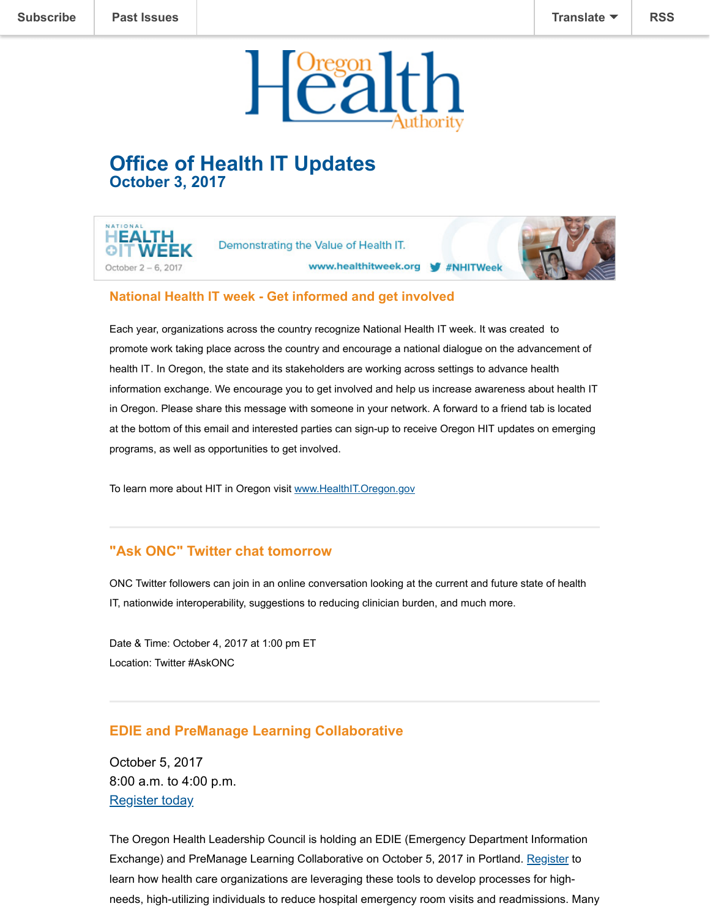

# **Office of Health IT Updates October 3, 2017**





#### **National Health IT week - Get informed and get involved**

Each year, organizations across the country recognize National Health IT week. It was created to promote work taking place across the country and encourage a national dialogue on the advancement of health IT. In Oregon, the state and its stakeholders are working across settings to advance health information exchange. We encourage you to get involved and help us increase awareness about health IT in Oregon. Please share this message with someone in your network. A forward to a friend tab is located at the bottom of this email and interested parties can sign-up to receive Oregon HIT updates on emerging programs, as well as opportunities to get involved.

To learn more about HIT in Oregon visit [www.HealthIT.Oregon.gov](http://healthit.oregon.gov/)

## **"Ask ONC" Twitter chat tomorrow**

ONC Twitter followers can join in an online conversation looking at the current and future state of health IT, nationwide interoperability, suggestions to reducing clinician burden, and much more.

Date & Time: October 4, 2017 at 1:00 pm ET Location: Twitter #AskONC

#### **EDIE and PreManage Learning Collaborative**

October 5, 2017 8:00 a.m. to 4:00 p.m. [Register today](https://www.eventbrite.com/e/ediepremanage-learning-collaborative-tickets-36227124304)

The Oregon Health Leadership Council is holding an EDIE (Emergency Department Information Exchange) and PreManage Learning Collaborative on October 5, 2017 in Portland. [Register](https://www.eventbrite.com/e/ediepremanage-learning-collaborative-tickets-36227124304) to learn how health care organizations are leveraging these tools to develop processes for highneeds, high-utilizing individuals to reduce hospital emergency room visits and readmissions. Many